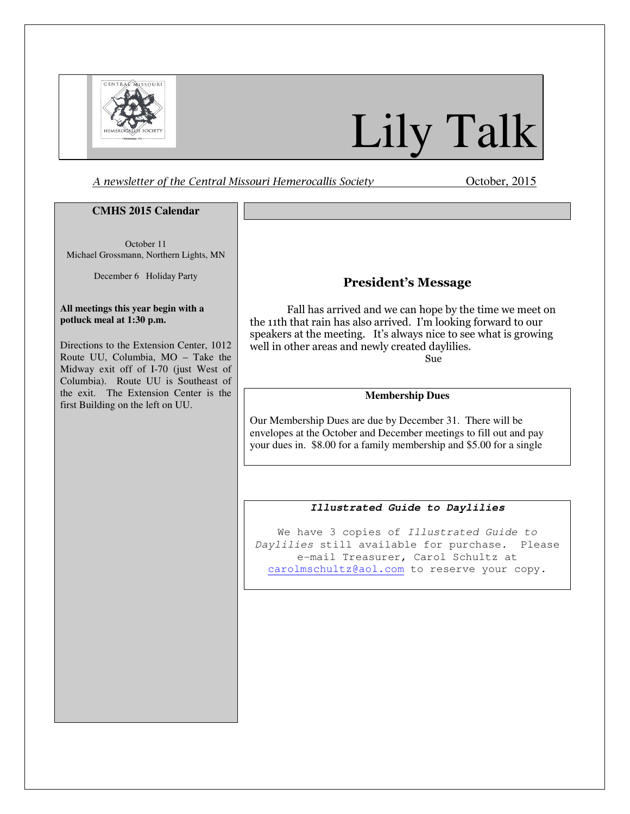

# Lily Talk

A newsletter of the Central Missouri Hemerocallis Society **Channel Contract Contract Contract** October, 2015

### **CMHS 2015 Calendar**

October 11 Michael Grossmann, Northern Lights, MN

December 6 Holiday Party

#### **All meetings this year begin with a potluck meal at 1:30 p.m.**

Directions to the Extension Center, 1012 Route UU, Columbia, MO – Take the Midway exit off of I-70 (just West of Columbia). Route UU is Southeast of the exit. The Extension Center is the first Building on the left on UU.

# President's Message

Fall has arrived and we can hope by the time we meet on the 11th that rain has also arrived. I'm looking forward to our speakers at the meeting. It's always nice to see what is growing well in other areas and newly created daylilies. Sue

# **Membership Dues**

Our Membership Dues are due by December 31. There will be envelopes at the October and December meetings to fill out and pay your dues in. \$8.00 for a family membership and \$5.00 for a single

## **Illustrated Guide to Daylilies**

We have 3 copies of Illustrated Guide to Daylilies still available for purchase. Please e-mail Treasurer, Carol Schultz at carolmschultz@aol.com to reserve your copy.